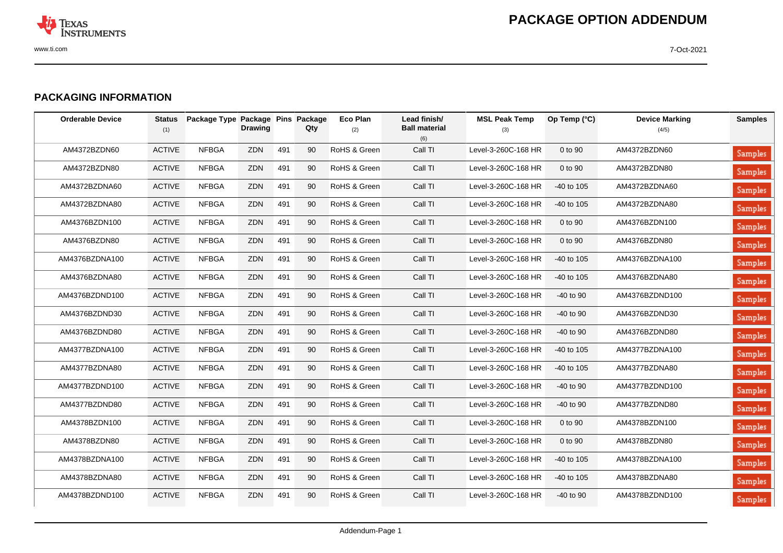

## **PACKAGING INFORMATION**

| <b>Orderable Device</b> | <b>Status</b><br>(1) | Package Type Package Pins Package | <b>Drawing</b> |     | Qty | <b>Eco Plan</b><br>(2) | Lead finish/<br><b>Ball material</b><br>(6) | <b>MSL Peak Temp</b><br>(3) | Op Temp (°C) | <b>Device Marking</b><br>(4/5) | <b>Samples</b> |
|-------------------------|----------------------|-----------------------------------|----------------|-----|-----|------------------------|---------------------------------------------|-----------------------------|--------------|--------------------------------|----------------|
| AM4372BZDN60            | <b>ACTIVE</b>        | <b>NFBGA</b>                      | <b>ZDN</b>     | 491 | 90  | RoHS & Green           | Call TI                                     | Level-3-260C-168 HR         | 0 to 90      | AM4372BZDN60                   | <b>Samples</b> |
| AM4372BZDN80            | <b>ACTIVE</b>        | <b>NFBGA</b>                      | ZDN            | 491 | 90  | RoHS & Green           | Call TI                                     | Level-3-260C-168 HR         | 0 to 90      | AM4372BZDN80                   | Samples        |
| AM4372BZDNA60           | <b>ACTIVE</b>        | <b>NFBGA</b>                      | ZDN            | 491 | 90  | RoHS & Green           | Call TI                                     | Level-3-260C-168 HR         | -40 to 105   | AM4372BZDNA60                  | <b>Samples</b> |
| AM4372BZDNA80           | <b>ACTIVE</b>        | <b>NFBGA</b>                      | ZDN            | 491 | 90  | RoHS & Green           | Call TI                                     | Level-3-260C-168 HR         | -40 to 105   | AM4372BZDNA80                  | <b>Samples</b> |
| AM4376BZDN100           | <b>ACTIVE</b>        | <b>NFBGA</b>                      | ZDN            | 491 | 90  | RoHS & Green           | Call TI                                     | Level-3-260C-168 HR         | 0 to 90      | AM4376BZDN100                  | <b>Samples</b> |
| AM4376BZDN80            | <b>ACTIVE</b>        | <b>NFBGA</b>                      | ZDN            | 491 | 90  | RoHS & Green           | Call TI                                     | Level-3-260C-168 HR         | 0 to 90      | AM4376BZDN80                   | <b>Samples</b> |
| AM4376BZDNA100          | <b>ACTIVE</b>        | <b>NFBGA</b>                      | ZDN            | 491 | 90  | RoHS & Green           | Call TI                                     | Level-3-260C-168 HR         | -40 to 105   | AM4376BZDNA100                 | <b>Samples</b> |
| AM4376BZDNA80           | <b>ACTIVE</b>        | <b>NFBGA</b>                      | ZDN            | 491 | 90  | RoHS & Green           | Call TI                                     | Level-3-260C-168 HR         | -40 to 105   | AM4376BZDNA80                  | <b>Samples</b> |
| AM4376BZDND100          | <b>ACTIVE</b>        | <b>NFBGA</b>                      | ZDN            | 491 | 90  | RoHS & Green           | Call TI                                     | Level-3-260C-168 HR         | $-40$ to 90  | AM4376BZDND100                 | Samples        |
| AM4376BZDND30           | <b>ACTIVE</b>        | <b>NFBGA</b>                      | ZDN            | 491 | 90  | RoHS & Green           | Call TI                                     | Level-3-260C-168 HR         | $-40$ to 90  | AM4376BZDND30                  | Samples        |
| AM4376BZDND80           | <b>ACTIVE</b>        | <b>NFBGA</b>                      | ZDN            | 491 | 90  | RoHS & Green           | Call TI                                     | Level-3-260C-168 HR         | $-40$ to 90  | AM4376BZDND80                  | Samples        |
| AM4377BZDNA100          | <b>ACTIVE</b>        | <b>NFBGA</b>                      | ZDN            | 491 | 90  | RoHS & Green           | Call TI                                     | Level-3-260C-168 HR         | $-40$ to 105 | AM4377BZDNA100                 | Samples        |
| AM4377BZDNA80           | <b>ACTIVE</b>        | <b>NFBGA</b>                      | ZDN            | 491 | 90  | RoHS & Green           | Call TI                                     | Level-3-260C-168 HR         | $-40$ to 105 | AM4377BZDNA80                  | Samples        |
| AM4377BZDND100          | <b>ACTIVE</b>        | <b>NFBGA</b>                      | ZDN            | 491 | 90  | RoHS & Green           | Call TI                                     | Level-3-260C-168 HR         | $-40$ to 90  | AM4377BZDND100                 | <b>Samples</b> |
| AM4377BZDND80           | <b>ACTIVE</b>        | <b>NFBGA</b>                      | ZDN            | 491 | 90  | RoHS & Green           | Call TI                                     | Level-3-260C-168 HR         | $-40$ to 90  | AM4377BZDND80                  | <b>Samples</b> |
| AM4378BZDN100           | <b>ACTIVE</b>        | <b>NFBGA</b>                      | ZDN            | 491 | 90  | RoHS & Green           | Call TI                                     | Level-3-260C-168 HR         | 0 to 90      | AM4378BZDN100                  | <b>Samples</b> |
| AM4378BZDN80            | <b>ACTIVE</b>        | <b>NFBGA</b>                      | ZDN            | 491 | 90  | RoHS & Green           | Call TI                                     | Level-3-260C-168 HR         | 0 to 90      | AM4378BZDN80                   | Samples        |
| AM4378BZDNA100          | <b>ACTIVE</b>        | <b>NFBGA</b>                      | ZDN            | 491 | 90  | RoHS & Green           | Call TI                                     | Level-3-260C-168 HR         | $-40$ to 105 | AM4378BZDNA100                 | <b>Samples</b> |
| AM4378BZDNA80           | <b>ACTIVE</b>        | <b>NFBGA</b>                      | ZDN            | 491 | 90  | RoHS & Green           | Call TI                                     | Level-3-260C-168 HR         | $-40$ to 105 | AM4378BZDNA80                  | Samples        |
| AM4378BZDND100          | <b>ACTIVE</b>        | <b>NFBGA</b>                      | ZDN            | 491 | 90  | RoHS & Green           | Call TI                                     | Level-3-260C-168 HR         | $-40$ to 90  | AM4378BZDND100                 | <b>Samples</b> |